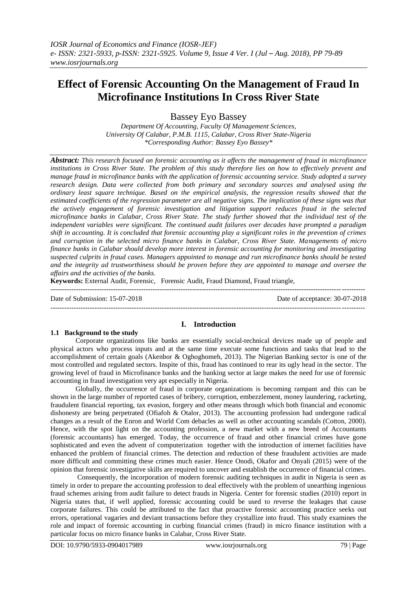# **Effect of Forensic Accounting On the Management of Fraud In Microfinance Institutions In Cross River State**

Bassey Eyo Bassey

*Department Of Accounting, Faculty Of Management Sciences, University Of Calabar, P.M.B. 1115, Calabar, Cross River State-Nigeria \*Corresponding Author: Bassey Eyo Bassey\**

*Abstract: This research focused on forensic accounting as it affects the management of fraud in microfinance institutions in Cross River State. The problem of this study therefore lies on how to effectively prevent and manage fraud in microfinance banks with the application of forensic accounting service. Study adopted a survey research design. Data were collected from both primary and secondary sources and analysed using the ordinary least square technique. Based on the empirical analysis, the regression results showed that the estimated coefficients of the regression parameter are all negative signs. The implication of these signs was that the actively engagement of forensic investigation and litigation support reduces fraud in the selected microfinance banks in Calabar, Cross River State. The study further showed that the individual test of the independent variables were significant. The continued audit failures over decades have prompted a paradigm shift in accounting. It is concluded that forensic accounting play a significant roles in the prevention of crimes and corruption in the selected micro finance banks in Calabar, Cross River State. Managements of micro finance banks in Calabar should develop more interest in forensic accounting for monitoring and investigating suspected culprits in fraud cases. Managers appointed to manage and run microfinance banks should be tested and the integrity ad trustworthiness should be proven before they are appointed to manage and oversee the affairs and the activities of the banks.* 

**Keywords:** External Audit, Forensic, Forensic Audit, Fraud Diamond, Fraud triangle, ---------------------------------------------------------------------------------------------------------------------------------------

Date of Submission: 15-07-2018 Date of acceptance: 30-07-2018

 $-1-\frac{1}{2}$ 

#### **I. Introduction**

**1.1 Background to the study** Corporate organizations like banks are essentially social-technical devices made up of people and physical actors who process inputs and at the same time execute some functions and tasks that lead to the accomplishment of certain goals (Akenbor & Oghoghomeh, 2013). The Nigerian Banking sector is one of the most controlled and regulated sectors. Inspite of this, fraud has continued to rear its ugly head in the sector. The growing level of fraud in Microfinance banks and the banking sector at large makes the need for use of forensic accounting in fraud investigation very apt especially in Nigeria.

Globally, the occurrence of fraud in corporate organizations is becoming rampant and this can be shown in the large number of reported cases of bribery, corruption, embezzlement, money laundering, racketing, fraudulent financial reporting, tax evasion, forgery and other means through which both financial and economic dishonesty are being perpetrated (Ofiafoh & Otalor, 2013). The accounting profession had undergone radical changes as a result of the Enron and World Com debacles as well as other accounting scandals (Cotton, 2000). Hence, with the spot light on the accounting profession, a new market with a new breed of Accountants (forensic accountants) has emerged. Today, the occurrence of fraud and other financial crimes have gone sophisticated and even the advent of computerization together with the introduction of internet facilities have enhanced the problem of financial crimes. The detection and reduction of these fraudulent activities are made more difficult and committing these crimes much easier. Hence Onodi, Okafor and Onyali (2015) were of the opinion that forensic investigative skills are required to uncover and establish the occurrence of financial crimes.

Consequently, the incorporation of modern forensic auditing techniques in audit in Nigeria is seen as timely in order to prepare the accounting profession to deal effectively with the problem of unearthing ingenious fraud schemes arising from audit failure to detect frauds in Nigeria. Center for forensic studies (2010) report in Nigeria states that, if well applied, forensic accounting could be used to reverse the leakages that cause corporate failures. This could be attributed to the fact that proactive forensic accounting practice seeks out errors, operational vagaries and deviant transactions before they crystallize into fraud. This study examines the role and impact of forensic accounting in curbing financial crimes (fraud) in micro finance institution with a particular focus on micro finance banks in Calabar, Cross River State.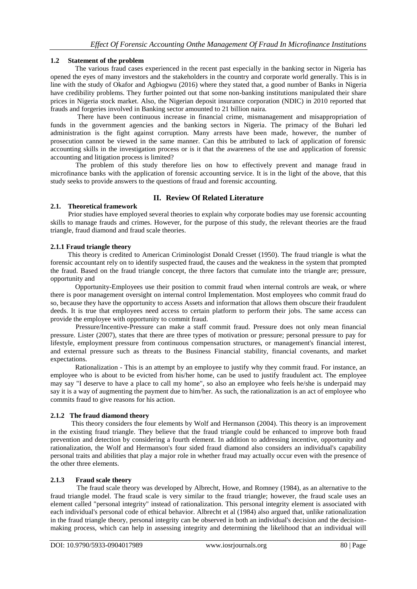## **1.2 Statement of the problem**

The various fraud cases experienced in the recent past especially in the banking sector in Nigeria has opened the eyes of many investors and the stakeholders in the country and corporate world generally. This is in line with the study of Okafor and Agbiogwu (2016) where they stated that, a good number of Banks in Nigeria have credibility problems. They further pointed out that some non-banking institutions manipulated their share prices in Nigeria stock market. Also, the Nigerian deposit insurance corporation (NDIC) in 2010 reported that frauds and forgeries involved in Banking sector amounted to 21 billion naira.

There have been continuous increase in financial crime, mismanagement and misappropriation of funds in the government agencies and the banking sectors in Nigeria. The primacy of the Buhari led administration is the fight against corruption. Many arrests have been made, however, the number of prosecution cannot be viewed in the same manner. Can this be attributed to lack of application of forensic accounting skills in the investigation process or is it that the awareness of the use and application of forensic accounting and litigation process is limited?

The problem of this study therefore lies on how to effectively prevent and manage fraud in microfinance banks with the application of forensic accounting service. It is in the light of the above, that this study seeks to provide answers to the questions of fraud and forensic accounting.

# **II. Review Of Related Literature**

#### **2.1. Theoretical framework**

 Prior studies have employed several theories to explain why corporate bodies may use forensic accounting skills to manage frauds and crimes. However, for the purpose of this study, the relevant theories are the fraud triangle, fraud diamond and fraud scale theories.

# **2.1.1 Fraud triangle theory**

 This theory is credited to American Criminologist Donald Cresset (1950). The fraud triangle is what the forensic accountant rely on to identify suspected fraud, the causes and the weakness in the system that prompted the fraud. Based on the fraud triangle concept, the three factors that cumulate into the triangle are; pressure, opportunity and

Opportunity-Employees use their position to commit fraud when internal controls are weak, or where there is poor management oversight on internal control Implementation. Most employees who commit fraud do so, because they have the opportunity to access Assets and information that allows them obscure their fraudulent deeds. It is true that employees need access to certain platform to perform their jobs. The same access can provide the employee with opportunity to commit fraud.

Pressure/Incentive-Pressure can make a staff commit fraud. Pressure does not only mean financial pressure. Lister (2007), states that there are three types of motivation or pressure; personal pressure to pay for lifestyle, employment pressure from continuous compensation structures, or management's financial interest, and external pressure such as threats to the Business Financial stability, financial covenants, and market expectations.

Rationalization - This is an attempt by an employee to justify why they commit fraud. For instance, an employee who is about to be evicted from his/her home, can be used to justify fraudulent act. The employee may say "I deserve to have a place to call my home", so also an employee who feels he/she is underpaid may say it is a way of augmenting the payment due to him/her. As such, the rationalization is an act of employee who commits fraud to give reasons for his action.

#### **2.1.2 The fraud diamond theory**

 This theory considers the four elements by Wolf and Hermanson (2004). This theory is an improvement in the existing fraud triangle. They believe that the fraud triangle could be enhanced to improve both fraud prevention and detection by considering a fourth element. In addition to addressing incentive, opportunity and rationalization, the Wolf and Hermanson's four sided fraud diamond also considers an individual's capability personal traits and abilities that play a major role in whether fraud may actually occur even with the presence of the other three elements.

# **2.1.3 Fraud scale theory**

 The fraud scale theory was developed by Albrecht, Howe, and Romney (1984), as an alternative to the fraud triangle model. The fraud scale is very similar to the fraud triangle; however, the fraud scale uses an element called "personal integrity" instead of rationalization. This personal integrity element is associated with each individual's personal code of ethical behavior. Albrecht et al (1984) also argued that, unlike rationalization in the fraud triangle theory, personal integrity can be observed in both an individual's decision and the decisionmaking process, which can help in assessing integrity and determining the likelihood that an individual will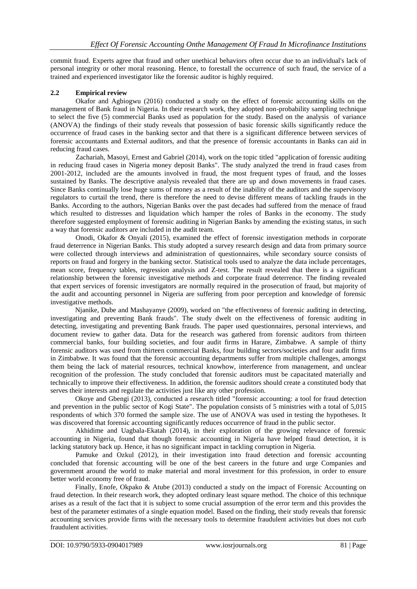commit fraud. Experts agree that fraud and other unethical behaviors often occur due to an individual's lack of personal integrity or other moral reasoning. Hence, to forestall the occurrence of such fraud, the service of a trained and experienced investigator like the forensic auditor is highly required.

#### **2.2 Empirical review**

Okafor and Agbiogwu (2016) conducted a study on the effect of forensic accounting skills on the management of Bank fraud in Nigeria. In their research work, they adopted non-probability sampling technique to select the five (5) commercial Banks used as population for the study. Based on the analysis of variance (ANOVA) the findings of their study reveals that possession of basic forensic skills significantly reduce the occurrence of fraud cases in the banking sector and that there is a significant difference between services of forensic accountants and External auditors, and that the presence of forensic accountants in Banks can aid in reducing fraud cases.

Zachariah, Masoyi, Ernest and Gabriel (2014), work on the topic titled "application of forensic auditing in reducing fraud cases in Nigeria money deposit Banks". The study analyzed the trend in fraud cases from 2001-2012, included are the amounts involved in fraud, the most frequent types of fraud, and the losses sustained by Banks. The descriptive analysis revealed that there are up and down movements in fraud cases. Since Banks continually lose huge sums of money as a result of the inability of the auditors and the supervisory regulators to curtail the trend, there is therefore the need to devise different means of tackling frauds in the Banks. According to the authors, Nigerian Banks over the past decades had suffered from the menace of fraud which resulted to distresses and liquidation which hamper the roles of Banks in the economy. The study therefore suggested employment of forensic auditing in Nigerian Banks by amending the existing status, in such a way that forensic auditors are included in the audit team.

Onodi, Okafor & Onyali (2015), examined the effect of forensic investigation methods in corporate fraud deterrence in Nigerian Banks. This study adopted a survey research design and data from primary source were collected through interviews and administration of questionnaires, while secondary source consists of reports on fraud and forgery in the banking sector. Statistical tools used to analyze the data include percentages, mean score, frequency tables, regression analysis and Z-test. The result revealed that there is a significant relationship between the forensic investigative methods and corporate fraud deterrence. The finding revealed that expert services of forensic investigators are normally required in the prosecution of fraud, but majority of the audit and accounting personnel in Nigeria are suffering from poor perception and knowledge of forensic investigative methods.

Njanike, Dube and Mashayanye (2009), worked on "the effectiveness of forensic auditing in detecting, investigating and preventing Bank frauds". The study dwelt on the effectiveness of forensic auditing in detecting, investigating and preventing Bank frauds. The paper used questionnaires, personal interviews, and document review to gather data. Data for the research was gathered from forensic auditors from thirteen commercial banks, four building societies, and four audit firms in Harare, Zimbabwe. A sample of thirty forensic auditors was used from thirteen commercial Banks, four building sectors/societies and four audit firms in Zimbabwe. It was found that the forensic accounting departments suffer from multiple challenges, amongst them being the lack of material resources, technical knowhow, interference from management, and unclear recognition of the profession. The study concluded that forensic auditors must be capacitated materially and technically to improve their effectiveness. In addition, the forensic auditors should create a constituted body that serves their interests and regulate the activities just like any other profession.

Okoye and Gbengi (2013), conducted a research titled "forensic accounting: a tool for fraud detection and prevention in the public sector of Kogi State". The population consists of 5 ministries with a total of 5,015 respondents of which 370 formed the sample size. The use of ANOVA was used in testing the hypotheses. It was discovered that forensic accounting significantly reduces occurrence of fraud in the public sector.

Akhidime and Uagbala-Ekatah (2014), in their exploration of the growing relevance of forensic accounting in Nigeria, found that though forensic accounting in Nigeria have helped fraud detection, it is lacking statutory back up. Hence, it has no significant impact in tackling corruption in Nigeria.

Pamuke and Ozkul (2012), in their investigation into fraud detection and forensic accounting concluded that forensic accounting will be one of the best careers in the future and urge Companies and government around the world to make material and moral investment for this profession, in order to ensure better world economy free of fraud.

Finally, Enofe, Okpako & Atube (2013) conducted a study on the impact of Forensic Accounting on fraud detection. In their research work, they adopted ordinary least square method. The choice of this technique arises as a result of the fact that it is subject to some crucial assumption of the error term and this provides the best of the parameter estimates of a single equation model. Based on the finding, their study reveals that forensic accounting services provide firms with the necessary tools to determine fraudulent activities but does not curb fraudulent activities.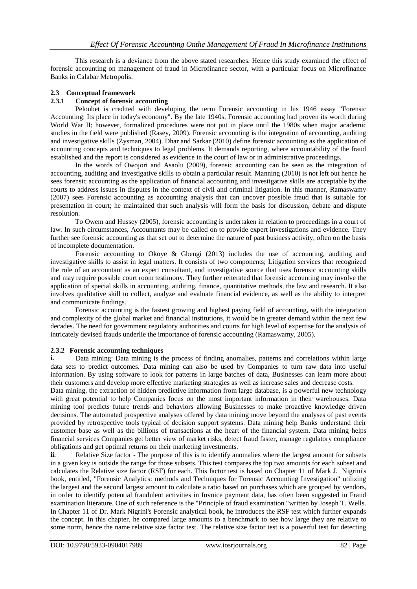This research is a deviance from the above stated researches. Hence this study examined the effect of forensic accounting on management of fraud in Microfinance sector, with a particular focus on Microfinance Banks in Calabar Metropolis.

### **2.3 Conceptual framework**

# **2.3.1 Concept of forensic accounting**

Peloubet is credited with developing the term Forensic accounting in his 1946 essay "Forensic Accounting: Its place in today's economy". By the late 1940s, Forensic accounting had proven its worth during World War II; however, formalized procedures were not put in place until the 1980s when major academic studies in the field were published (Rasey, 2009). Forensic accounting is the integration of accounting, auditing and investigative skills (Zysman, 2004). Dhar and Sarkar (2010) define forensic accounting as the application of accounting concepts and techniques to legal problems. It demands reporting, where accountability of the fraud established and the report is considered as evidence in the court of law or in administrative proceedings.

In the words of Owojori and Asaolu (2009), forensic accounting can be seen as the integration of accounting, auditing and investigative skills to obtain a particular result. Manning (2010) is not left out hence he sees forensic accounting as the application of financial accounting and investigative skills are acceptable by the courts to address issues in disputes in the context of civil and criminal litigation. In this manner, Ramaswamy (2007) sees Forensic accounting as accounting analysis that can uncover possible fraud that is suitable for presentation in court; he maintained that such analysis will form the basis for discussion, debate and dispute resolution.

To Owem and Hussey (2005), forensic accounting is undertaken in relation to proceedings in a court of law. In such circumstances, Accountants may be called on to provide expert investigations and evidence. They further see forensic accounting as that set out to determine the nature of past business activity, often on the basis of incomplete documentation.

Forensic accounting to Okoye & Gbengi (2013) includes the use of accounting, auditing and investigative skills to assist in legal matters. It consists of two components; Litigation services that recognized the role of an accountant as an expert consultant, and investigative source that uses forensic accounting skills and may require possible court room testimony. They further reiterated that forensic accounting may involve the application of special skills in accounting, auditing, finance, quantitative methods, the law and research. It also involves qualitative skill to collect, analyze and evaluate financial evidence, as well as the ability to interpret and communicate findings.

Forensic accounting is the fastest growing and highest paying field of accounting, with the integration and complexity of the global market and financial institutions, it would be in greater demand within the next few decades. The need for government regulatory authorities and courts for high level of expertise for the analysis of intricately devised frauds underlie the importance of forensic accounting (Ramaswamy, 2005).

# **2.3.2 Forensic accounting techniques**<br>**i.** Data mining: Data mining is the

**i.** Data mining: Data mining is the process of finding anomalies, patterns and correlations within large data sets to predict outcomes. Data mining can also be used by Companies to turn raw data into useful information. By using software to look for patterns in large batches of data, Businesses can learn more about their customers and develop more effective marketing strategies as well as increase sales and decrease costs.

Data mining, the extraction of hidden predictive information from large database, is a powerful new technology with great potential to help Companies focus on the most important information in their warehouses. Data mining tool predicts future trends and behaviors allowing Businesses to make proactive knowledge driven decisions. The automated prospective analyses offered by data mining move beyond the analyses of past events provided by retrospective tools typical of decision support systems. Data mining help Banks understand their customer base as well as the billions of transactions at the heart of the financial system. Data mining helps financial services Companies get better view of market risks, detect fraud faster, manage regulatory compliance obligations and get optimal returns on their marketing investments.

**ii.** Relative Size factor - The purpose of this is to identify anomalies where the largest amount for subsets in a given key is outside the range for those subsets. This test compares the top two amounts for each subset and calculates the Relative size factor (RSF) for each. This factor test is based on Chapter 11 of Mark J. Nigrini's book, entitled, "Forensic Analytics: methods and Techniques for Forensic Accounting Investigation" utilizing the largest and the second largest amount to calculate a ratio based on purchases which are grouped by vendors, in order to identify potential fraudulent activities in Invoice payment data, has often been suggested in Fraud examination literature. One of such reference is the "Principle of fraud examination "written by Joseph T. Wells. In Chapter 11 of Dr. Mark Nigrini's Forensic analytical book, he introduces the RSF test which further expands the concept. In this chapter, he compared large amounts to a benchmark to see how large they are relative to some norm, hence the name relative size factor test. The relative size factor test is a powerful test for detecting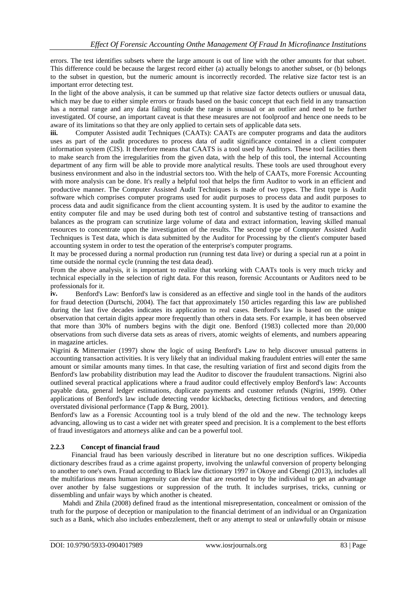errors. The test identifies subsets where the large amount is out of line with the other amounts for that subset. This difference could be because the largest record either (a) actually belongs to another subset, or (b) belongs to the subset in question, but the numeric amount is incorrectly recorded. The relative size factor test is an important error detecting test.

In the light of the above analysis, it can be summed up that relative size factor detects outliers or unusual data, which may be due to either simple errors or frauds based on the basic concept that each field in any transaction has a normal range and any data falling outside the range is unusual or an outlier and need to be further investigated. Of course, an important caveat is that these measures are not foolproof and hence one needs to be aware of its limitations so that they are only applied to certain sets of applicable data sets.

iii. Computer Assisted audit Techniques (CAATs): CAATs are computer programs and data the auditors uses as part of the audit procedures to process data of audit significance contained in a client computer information system (CIS). It therefore means that CAATS is a tool used by Auditors. These tool facilities them to make search from the irregularities from the given data, with the help of this tool, the internal Accounting department of any firm will be able to provide more analytical results. These tools are used throughout every business environment and also in the industrial sectors too. With the help of CAATs, more Forensic Accounting with more analysis can be done. It's really a helpful tool that helps the firm Auditor to work in an efficient and productive manner. The Computer Assisted Audit Techniques is made of two types. The first type is Audit software which comprises computer programs used for audit purposes to process data and audit purposes to process data and audit significance from the client accounting system. It is used by the auditor to examine the entity computer file and may be used during both test of control and substantive testing of transactions and balances as the program can scrutinize large volume of data and extract information, leaving skilled manual resources to concentrate upon the investigation of the results. The second type of Computer Assisted Audit Techniques is Test data, which is data submitted by the Auditor for Processing by the client's computer based accounting system in order to test the operation of the enterprise's computer programs.

It may be processed during a normal production run (running test data live) or during a special run at a point in time outside the normal cycle (running the test data dead).

From the above analysis, it is important to realize that working with CAATs tools is very much tricky and technical especially in the selection of right data. For this reason, forensic Accountants or Auditors need to be professionals for it.

**iv.** Benford's Law: Benford's law is considered as an effective and single tool in the hands of the auditors for fraud detection (Durtschi, 2004). The fact that approximately 150 articles regarding this law are published during the last five decades indicates its application to real cases. Benford's law is based on the unique observation that certain digits appear more frequently than others in data sets. For example, it has been observed that more than 30% of numbers begins with the digit one. Benford (1983) collected more than 20,000 observations from such diverse data sets as areas of rivers, atomic weights of elements, and numbers appearing in magazine articles.

Nigrini & Mittermaier (1997) show the logic of using Benford's Law to help discover unusual patterns in accounting transaction activities. It is very likely that an individual making fraudulent entries will enter the same amount or similar amounts many times. In that case, the resulting variation of first and second digits from the Benford's law probability distribution may lead the Auditor to discover the fraudulent transactions. Nigrini also outlined several practical applications where a fraud auditor could effectively employ Benford's law: Accounts payable data, general ledger estimations, duplicate payments and customer refunds (Nigrini, 1999). Other applications of Benford's law include detecting vendor kickbacks, detecting fictitious vendors, and detecting overstated divisional performance (Tapp & Burg, 2001).

Benford's law as a Forensic Accounting tool is a truly blend of the old and the new. The technology keeps advancing, allowing us to cast a wider net with greater speed and precision. It is a complement to the best efforts of fraud investigators and attorneys alike and can be a powerful tool.

#### **2.2.3 Concept of financial fraud**

 Financial fraud has been variously described in literature but no one description suffices. Wikipedia dictionary describes fraud as a crime against property, involving the unlawful conversion of property belonging to another to one's own. Fraud according to Black law dictionary 1997 in Okoye and Gbengi (2013), includes all the multifarious means human ingenuity can devise that are resorted to by the individual to get an advantage over another by false suggestions or suppression of the truth. It includes surprises, tricks, cunning or dissembling and unfair ways by which another is cheated.

 Mahdi and Zhila (2008) defined fraud as the intentional misrepresentation, concealment or omission of the truth for the purpose of deception or manipulation to the financial detriment of an individual or an Organization such as a Bank, which also includes embezzlement, theft or any attempt to steal or unlawfully obtain or misuse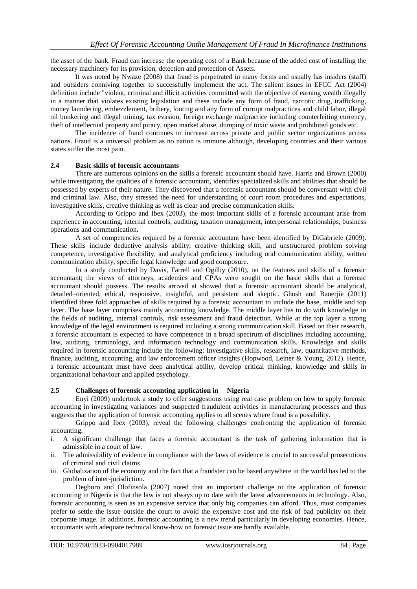the asset of the bank. Fraud can increase the operating cost of a Bank because of the added cost of installing the necessary machinery for its provision, detection and protection of Assets.

It was noted by Nwaze (2008) that fraud is perpetrated in many forms and usually has insiders (staff) and outsiders conniving together to successfully implement the act. The salient issues in EFCC Act (2004) definition include "violent, criminal and illicit activities committed with the objective of earning wealth illegally in a manner that violates existing legislation and these include any form of fraud, narcotic drug, trafficking, money laundering, embezzlement, bribery, looting and any form of corrupt malpractices and child labor, illegal oil bunkering and illegal mining, tax evasion, foreign exchange malpractice including counterfeiting currency, theft of intellectual property and piracy, open market abuse, dumping of toxic waste and prohibited goods etc.

The incidence of fraud continues to increase across private and public sector organizations across nations. Fraud is a universal problem as no nation is immune although, developing countries and their various states suffer the most pain.

#### **2.4 Basic skills of forensic accountants**

There are numerous opinions on the skills a forensic accountant should have. Harris and Brown (2000) while investigating the qualities of a forensic accountant, identifies specialized skills and abilities that should be possessed by experts of their nature. They discovered that a forensic accountant should be conversant with civil and criminal law. Also, they stressed the need for understanding of court room procedures and expectations, investigative skills, creative thinking as well as clear and precise communication skills.

According to Grippo and Ibex (2003), the most important skills of a forensic accountant arise from experience in accounting, internal controls, auditing, taxation management, interpersonal relationships, business operations and communication.

A set of competencies required by a forensic accountant have been identified by DiGabriele (2009). These skills include deductive analysis ability, creative thinking skill, and unstructured problem solving competence, investigative flexibility, and analytical proficiency including oral communication ability, written communication ability, specific legal knowledge and good composure.

In a study conducted by Davis, Farrell and Ogilby (2010), on the features and skills of a forensic accountant; the views of attorneys, academics and CPAs were sought on the basic skills that a forensic accountant should possess. The results arrived at showed that a forensic accountant should be analytical, detailed–oriented, ethical, responsive, insightful, and persistent and skeptic. Ghosh and Banerjie (2011) identified three fold approaches of skills required by a forensic accountant to include the base, middle and top layer. The base layer comprises mainly accounting knowledge. The middle layer has to do with knowledge in the fields of auditing, internal controls, risk assessment and fraud detection. While at the top layer a strong knowledge of the legal environment is required including a strong communication skill. Based on their research, a forensic accountant is expected to have competence in a broad spectrum of disciplines including accounting, law, auditing, criminology, and information technology and communication skills. Knowledge and skills required in forensic accounting include the following: Investigative skills, research, law, quantitative methods, finance, auditing, accounting, and law enforcement officer insights (Hopwood, Leiner & Young, 2012). Hence, a forensic accountant must have deep analytical ability, develop critical thinking, knowledge and skills in organizational behaviour and applied psychology.

#### **2.5 Challenges of forensic accounting application in Nigeria**

Enyi (2009) undertook a study to offer suggestions using real case problem on how to apply forensic accounting in investigating variances and suspected fraudulent activities in manufacturing processes and thus suggests that the application of forensic accounting applies to all scenes where fraud is a possibility.

Grippo and Ibex (2003), reveal the following challenges confronting the application of forensic accounting.

- i. A significant challenge that faces a forensic accountant is the task of gathering information that is admissible in a court of law.
- ii. The admissibility of evidence in compliance with the laws of evidence is crucial to successful prosecutions of criminal and civil claims
- iii. Globalization of the economy and the fact that a fraudster can be based anywhere in the world has led to the problem of inter-jurisdiction.

Degboro and Olofinsola (2007) noted that an important challenge to the application of forensic accounting in Nigeria is that the law is not always up to date with the latest advancements in technology. Also, forensic accounting is seen as an expensive service that only big companies can afford. Thus, most companies prefer to settle the issue outside the court to avoid the expensive cost and the risk of bad publicity on their corporate image. In additions, forensic accounting is a new trend particularly in developing economies. Hence, accountants with adequate technical know-how on forensic issue are hardly available.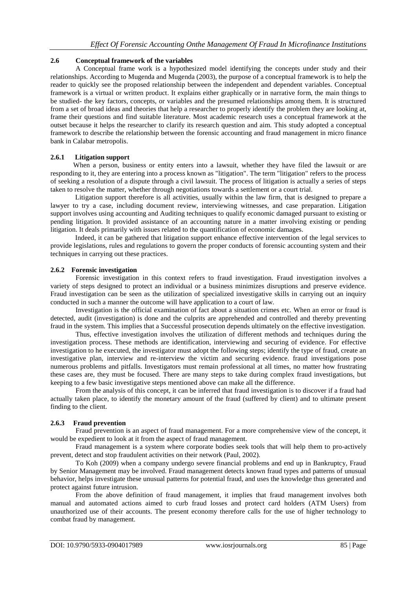#### **2.6 Conceptual framework of the variables**

A Conceptual frame work is a hypothesized model identifying the concepts under study and their relationships. According to Mugenda and Mugenda (2003), the purpose of a conceptual framework is to help the reader to quickly see the proposed relationship between the independent and dependent variables. Conceptual framework is a virtual or written product. It explains either graphically or in narrative form, the main things to be studied- the key factors, concepts, or variables and the presumed relationships among them. It is structured from a set of broad ideas and theories that help a researcher to properly identify the problem they are looking at, frame their questions and find suitable literature. Most academic research uses a conceptual framework at the outset because it helps the researcher to clarify its research question and aim. This study adopted a conceptual framework to describe the relationship between the forensic accounting and fraud management in micro finance bank in Calabar metropolis.

#### **2.6.1 Litigation support**

 When a person, business or entity enters into a lawsuit, whether they have filed the lawsuit or are responding to it, they are entering into a process known as "litigation". The term "litigation" refers to the process of seeking a resolution of a dispute through a civil lawsuit. The process of litigation is actually a series of steps taken to resolve the matter, whether through negotiations towards a settlement or a court trial.

Litigation support therefore is all activities, usually within the law firm, that is designed to prepare a lawyer to try a case, including document review, interviewing witnesses, and case preparation. Litigation support involves using accounting and Auditing techniques to qualify economic damaged pursuant to existing or pending litigation. It provided assistance of an accounting nature in a matter involving existing or pending litigation. It deals primarily with issues related to the quantification of economic damages.

Indeed, it can be gathered that litigation support enhance effective intervention of the legal services to provide legislations, rules and regulations to govern the proper conducts of forensic accounting system and their techniques in carrying out these practices.

#### **2.6.2 Forensic investigation**

Forensic investigation in this context refers to fraud investigation. Fraud investigation involves a variety of steps designed to protect an individual or a business minimizes disruptions and preserve evidence. Fraud investigation can be seen as the utilization of specialized investigative skills in carrying out an inquiry conducted in such a manner the outcome will have application to a court of law.

Investigation is the official examination of fact about a situation crimes etc. When an error or fraud is detected, audit (investigation) is done and the culprits are apprehended and controlled and thereby preventing fraud in the system. This implies that a Successful prosecution depends ultimately on the effective investigation.

Thus, effective investigation involves the utilization of different methods and techniques during the investigation process. These methods are identification, interviewing and securing of evidence. For effective investigation to he executed, the investigator must adopt the following steps; identify the type of fraud, create an investigative plan, interview and re-interview the victim and securing evidence. fraud investigations pose numerous problems and pitfalls. Investigators must remain professional at all times, no matter how frustrating these cases are, they must be focused. There are many steps to take during complex fraud investigations, but keeping to a few basic investigative steps mentioned above can make all the difference.

From the analysis of this concept, it can be inferred that fraud investigation is to discover if a fraud had actually taken place, to identify the monetary amount of the fraud (suffered by client) and to ultimate present finding to the client.

# **2.6.3 Fraud prevention**

Fraud prevention is an aspect of fraud management. For a more comprehensive view of the concept, it would be expedient to look at it from the aspect of fraud management.

Fraud management is a system where corporate bodies seek tools that will help them to pro-actively prevent, detect and stop fraudulent activities on their network (Paul, 2002).

To Koh (2009) when a company undergo severe financial problems and end up in Bankruptcy, Fraud by Senior Management may be involved. Fraud management detects known fraud types and patterns of unusual behavior, helps investigate these unusual patterns for potential fraud, and uses the knowledge thus generated and protect against future intrusion.

From the above definition of fraud management, it implies that fraud management involves both manual and automated actions aimed to curb fraud losses and protect card holders (ATM Users) from unauthorized use of their accounts. The present economy therefore calls for the use of higher technology to combat fraud by management.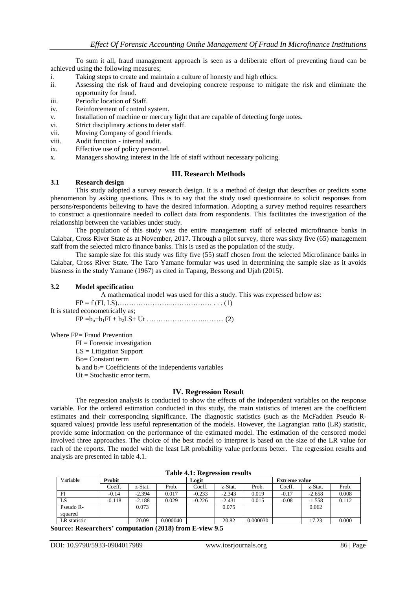To sum it all, fraud management approach is seen as a deliberate effort of preventing fraud can be achieved using the following measures;

- i. Taking steps to create and maintain a culture of honesty and high ethics.
- ii. Assessing the risk of fraud and developing concrete response to mitigate the risk and eliminate the opportunity for fraud.
- iii. Periodic location of Staff.
- iv. Reinforcement of control system.
- v. Installation of machine or mercury light that are capable of detecting forge notes.
- vi. Strict disciplinary actions to deter staff.
- vii. Moving Company of good friends.
- viii. Audit function internal audit.
- ix. Effective use of policy personnel.
- x. Managers showing interest in the life of staff without necessary policing.

#### **III. Research Methods**

#### **3.1 Research design**

This study adopted a survey research design. It is a method of design that describes or predicts some phenomenon by asking questions. This is to say that the study used questionnaire to solicit responses from persons/respondents believing to have the desired information. Adopting a survey method requires researchers to construct a questionnaire needed to collect data from respondents. This facilitates the investigation of the relationship between the variables under study.

The population of this study was the entire management staff of selected microfinance banks in Calabar, Cross River State as at November, 2017. Through a pilot survey, there was sixty five (65) management staff from the selected micro finance banks. This is used as the population of the study.

The sample size for this study was fifty five (55) staff chosen from the selected Microfinance banks in Calabar, Cross River State. The Taro Yamane formular was used in determining the sample size as it avoids biasness in the study Yamane (1967) as cited in Tapang, Bessong and Ujah (2015).

#### **3.2 Model specification**

A mathematical model was used for this a study. This was expressed below as:

FP = f (FI, LS)…………………..……………… . . . (1) It is stated econometrically as;

FP =bo+b1FI + b2LS+ Ut …………………….……... (2)

Where FP= Fraud Prevention

 $FI = \text{Forensic investigation}$ LS = Litigation Support Bo= Constant term  $b_i$  and  $b_2$ = Coefficients of the independents variables  $Ut = Stochastic error term.$ 

#### **IV. Regression Result**

The regression analysis is conducted to show the effects of the independent variables on the response variable. For the ordered estimation conducted in this study, the main statistics of interest are the coefficient estimates and their corresponding significance. The diagnostic statistics (such as the McFadden Pseudo Rsquared values) provide less useful representation of the models. However, the Lagrangian ratio (LR) statistic, provide some information on the performance of the estimated model. The estimation of the censored model involved three approaches. The choice of the best model to interpret is based on the size of the LR value for each of the reports. The model with the least LR probability value performs better. The regression results and analysis are presented in table 4.1.

| Variable     | Probit   |          |          | Logit    |          |          | <b>Extreme value</b> |          |       |
|--------------|----------|----------|----------|----------|----------|----------|----------------------|----------|-------|
|              | Coeff.   | z-Stat.  | Prob.    | Coeff.   | z-Stat.  | Prob.    | Coeff.               | z-Stat.  | Prob. |
| $_{\rm{FI}}$ | $-0.14$  | $-2.394$ | 0.017    | $-0.233$ | $-2.343$ | 0.019    | $-0.17$              | $-2.658$ | 0.008 |
| LS           | $-0.118$ | $-2.188$ | 0.029    | $-0.226$ | $-2.431$ | 0.015    | $-0.08$              | $-1.558$ | 0.112 |
| Pseudo R-    |          | 0.073    |          |          | 0.075    |          |                      | 0.062    |       |
| squared      |          |          |          |          |          |          |                      |          |       |
| LR statistic |          | 20.09    | 0.000040 |          | 20.82    | 0.000030 |                      | 17.23    | 0.000 |

**Table 4.1: Regression results**

**Source: Researchers' computation (2018) from E-view 9.5**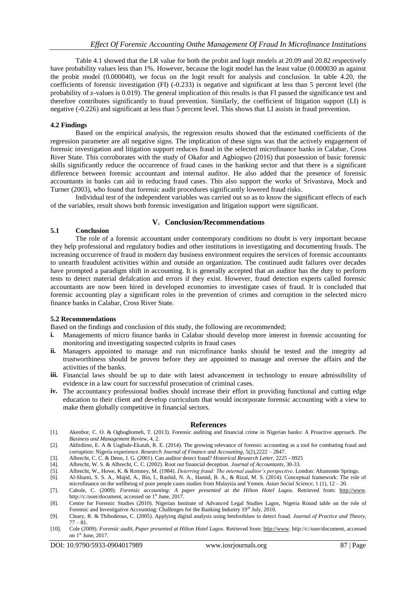Table 4.1 showed that the LR value for both the probit and logit models at 20.09 and 20.82 respectively have probability values less than 1%. However, because the logit model has the least value (0.000030 as against the probit model (0.000040), we focus on the logit result for analysis and conclusion. In table 4.20, the coefficients of forensic investigation (FI) (-0.233) is negative and significant at less than 5 percent level (the probability of z-values is 0.019). The general implication of this results is that FI passed the significance test and therefore contributes significantly to fraud prevention. Similarly, the coefficient of litigation support (LI) is negative (-0.226) and significant at less than 5 percent level. This shows that LI assists in fraud prevention.

#### **4.2 Findings**

Based on the empirical analysis, the regression results showed that the estimated coefficients of the regression parameter are all negative signs. The implication of these signs was that the actively engagement of forensic investigation and litigation support reduces fraud in the selected microfinance banks in Calabar, Cross River State. This corroborates with the study of Okafor and Agbiogwo (2016) that possession of basic forensic skills significantly reduce the occurrence of fraud cases in the banking sector and that there is a significant difference between forensic accountant and internal auditor. He also added that the presence of forensic accountants in banks can aid in reducing fraud cases. This also support the works of Srivastava, Mock and Turner (2003), who found that forensic audit procedures significantly lowered fraud risks.

Individual test of the independent variables was carried out so as to know the significant effects of each of the variables, result shows both forensic investigation and litigation support were significant.

#### **V. Conclusion/Recommendations 5.1 Conclusion**

# The role of a forensic accountant under contemporary conditions no doubt is very important because they help professional and regulatory bodies and other institutions in investigating and documenting frauds. The increasing occurrence of fraud in modern day business environment requires the services of forensic accountants to unearth fraudulent activities within and outside an organization. The continued audit failures over decades have prompted a paradigm shift in accounting. It is generally accepted that an auditor has the duty to perform

tests to detect material defalcation and errors if they exist. However, fraud detection experts called forensic accountants are now been hired in developed economies to investigate cases of fraud. It is concluded that forensic accounting play a significant roles in the prevention of crimes and corruption in the selected micro finance banks in Calabar, Cross River State.

#### **5.2 Recommendations**

Based on the findings and conclusion of this study, the following are recommended;

- **i.** Managements of micro finance banks in Calabar should develop more interest in forensic accounting for monitoring and investigating suspected culprits in fraud cases
- **ii.** Managers appointed to manage and run microfinance banks should be tested and the integrity ad trustworthiness should be proven before they are appointed to manage and oversee the affairs and the activities of the banks.
- **iii.** Financial laws should be up to date with latest advancement in technology to ensure admissibility of evidence in a law court for successful prosecution of criminal cases.
- **iv.** The accountancy professional bodies should increase their effort in providing functional and cutting edge education to their client and develop curriculum that would incorporate forensic accounting with a view to make them globally competitive in financial sectors.

#### **References**

- [1]. Akenbor, C. O. & Oghoghomeh, T. (2013). Forensic auditing and financial crime in Nigerian banks: A Proactive approach. *The Business and Management Review*, 4, 2.
- [2]. Akhidime, E. A & Uagbale-Ekatah, R. E. (2014). The growing relevance of forensic accounting as a tool for combating fraud and corruption: Nigeria experience. *Research Journal of Finance and Accounting,* 5(2),2222 – 2847.
- [3]. Albrecht, C. C. & Denn, J. G. (2001). Can auditor detect fraud? *Historical Research Letter,* 2225 0925
- [4]. Albrecht, W. S. & Albrecht, C. C. (2002). Root out financial deception. *Journal of Accountants,* 30-33.
- [5]. Albrecht, W., Howe, K. & Romney, M. (1984). *Deterring fraud: The internal auditor's perspective*. London: Altamonte Springs.
- [6]. Al-Shami, S. S. A., Majid, A., Bin, I., Rashid, N. A., Hamid, B. A., & Rizal, M. S. (2014). Conceptual framework: The role of microfinance on the wellbeing of poor people cases studies from Malaysia and Yemen. *Asian Social Science,* 1 (1), 12 – 20.
- [7]. Cabole, C. (2009). *Forensic accounting: A paper presented at the Hilton Hotel Lagos.* Retrieved from: [http://www.](http://www/)  http://c:/user/document, accessed on  $1<sup>st</sup>$  June, 2017.
- [8]. Centre for Forensic Studies (2010). Nigerian Institute of Advanced Legal Studies Lagos, Nigeria Round table on the role of Forensic and Investigative Accounting: Challenges for the Banking Industry 19<sup>th</sup> July, 2010.
- [9]. Cleary, R. & Thibodeous, C. (2005). Applying digital analysis using benfordslaw to detect fraud. *Journal of Practice and Theory,*   $77 - 81$ .
- [10]. Cole (2009). *Forensic audit, Paper presented at Hilton Hotel Lagos*. Retrieved from[: http://www.](http://www/) http://c:/user/document, accessed on 1<sup>st</sup> June, 2017.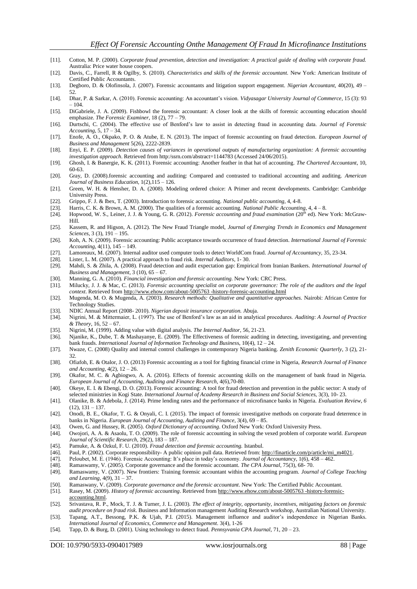- [11]. Cotton, M. P. (2000). *Corporate fraud prevention, detection and investigation: A practical guide of dealing with corporate fraud.* Australia: Price water house coopers.
- [12]. Davis, C., Farrell, R & Ogilby, S. (2010). *Characteristics and skills of the forensic accountant.* New York: American Institute of Certified Public Accountants.
- [13]. Degboro, D. & Olofinsola, J. (2007). Forensic accountants and litigation support engagement. *Nigerian Accountant,* 40(20), 49 52.
- [14]. Dhar, P. & Sarkar, A. (2010). Forensic accounting: An accountant's vision. *Vidyasagar University Journal of Commerce*, 15 (3): 93  $-104.$
- [15]. DiGabriele, J. A. (2009). Fishbowl the forensic accountant: A closer look at the skills of forensic accounting education should emphasize. *The Forensic Examiner,* 18 (2), 77 – 79.
- [16]. Durtschi, C. (2004). The effective use of Benford's law to assist in detecting fraud in accounting data. *Journal of Forensic Accounting*, 5, 17 – 34.
- [17]. Enofe, A. O., Okpako, P. O. & Atube, E. N. (2013). The impact of forensic accounting on fraud detection. *European Journal of Business and Management* 5(26), 2222-2839.
- [18]. Enyi, E. P. (2009). *Detection causes of variances in operational outputs of manufacturing organization: A forensic accounting investigation approach*. Retrieved from http:/ssrn.com/abstract=1144783 (Accessed 24/06/2015).
- [19]. Ghosh, I. & Banergie, K. K. (2011). Forensic accounting: Another feather in that hat of accounting. *The Chartered Accountant*, 10, 60-63.
- [20]. Gray, D. (2008).forensic accounting and auditing: Compared and contrasted to traditional accounting and auditing. *American Journal of Business Education,* 1(2),115 – 126.
- [21]. Green, W. H. & Hensher, D. A. (2008). Modeling ordered choice: A Primer and recent developments. Cambridge: Cambridge University Press.
- [22]. Grippo, F. J. & Ibex, T. (2003). Introduction to forensic accounting. *National public accounting,* 4, 4-8.
- 
- [23]. Harris, C. K. & Brown, A. M. (2000). The qualities of a forensic accounting. *National Public Accounting,* 4, 4 8. Hopwood, W. S., Leiner, J. J. & Young, G. R. (2012). *Forensic accounting and fraud examination* (20<sup>th</sup> ed). New York: McGraw-Hill.
- [25]. Kassem, R. and Higson, A. (2012). The New Fraud Triangle model, *Journal of Emerging Trends in Economics and Management Sciences,* 3 (3), 191 – 195.
- [26]. Koh, A. N. (2009). Forensic accounting: Public acceptance towards occurrence of fraud detection. *International Journal of Forensic Accounting*, 4(11), 145 – 149.
- [27]. Lamoreaux, M. (2007). Internal auditor used computer tools to detect WorldCom fraud. *Journal of Accountancy,* 35, 23-34.
- [28]. Lister, L. M. (2007). A practical approach to fraud risk. *Internal Auditors*, 1- 30.
- [29]. Mahdi, S. & Zhila, A. (2008). Fraud detection and audit expectation gap: Empirical from Iranian Bankers. *International Journal of Business and Management*, 3 (10), 65 – 67.
- [30]. Manning, G. A. (2010). *Financial investigation and forensic accounting.* New York: CRC Press.
- [31]. Milucky, J. J. & Mac, C. (2013). *Forensic accounting specialist on corporate governance: The role of the auditors and the legal context*. Retrieved fro[m http://www.ehow.com/about-5005763 -history-forensic-accounting.html](http://www.ehow.com/about-5005763%20-history-forensic-accounting.html)
- [32]. Mugenda, M. O. & Mugenda, A. (2003). *Research methods: Qualitative and quantitative approaches.* Nairobi: African Centre for Technology Studies.
- [33]. NDIC Annual Report (2008- 2010). *Nigerian deposit insurance corporation.* Abuja.
- [34]. Nigrini, M. & Mittermaier, L. (1997). The use of Benford's law as an aid in analytical procedures. *Auditing*: *A Journal of Practice & Theory*, 16, 52 – 67.
- [35]. Nigrini, M. (1999). Adding value with digital analysis. *The Internal Auditor*, 56, 21-23.
- [36]. Njanike, K., Dube, T. & Mashayanye, E. (2009). The Effectiveness of forensic auditing in detecting, investigating, and preventing bank frauds. *International Journal of Information Technology and Busines*s, 10(4), 12 – 24.
- [37]. Nwaze, C. (2008) Quality and internal control challenges in contemporary Nigeria banking. *Zenith Economic Quarterly*, 3 (2), 21- 32
- [38]. Ofiafoh, E. & Otalor, J. O. (2013) Forensic accounting as a tool for fighting financial crime in Nigeria, *Research Journal of Finance and Accounting*, 4(2), 12 – 26.
- [39]. Okafor, M. C. & Agbiogwo, A. A. (2016). Effects of forensic accounting skills on the management of bank fraud in Nigeria. *European Journal of Accounting, Auditing and Finance Research,* 4(6),70-80.
- [40]. Okeye, E. I. & Ebengi, D. O. (2013). Forensic accounting: A tool for fraud detection and prevention in the public sector: A study of selected ministries in Kogi State. *International Journal of Academy Research in Business and Social Sciences,* 3(3), 10- 23.
- [41]. Olanike, B. & Adebola, J. (2014). Prime lending rates and the performance of microfinance banks in Nigeria. *Evaluation Review*, *6*   $(12), 131 - 137.$
- [42]. Onodi, B. E., Okafor, T. G. & Onyali, C. I. (2015). The impact of forensic investigative methods on corporate fraud deterrence in banks in Nigeria. *European Journal of Accounting, Auditing and Finance*, 3(4), 69 – 85.
- [43]. Owen, G. and Hussey, R. (2005). *Oxford Dictionary of accounting*. Oxford New York: Oxford University Press.
- [44]. Owojori, A. A. & Asaolu, T. O. (2009). The role of forensic accounting in solving the vexed problem of corporate world. *European Journal of Scientific Research,* 29(2), 183 – 187.
- [45]. Pamuke, A. & Ozkul, F. U. (2010). *Fraud detection and forensic accounting.* Istanbul.
- [46]. Paul, P. (2002). Corporate responsibility- A public opinion pull data. Retrieved from: [http://finarticle.com/p/article/mi\\_m4021.](http://finarticle.com/p/article/mi_m4021)
- [47]. Peloubet, M. E. (1946). Forensic Accounting: It's place in today's economy. *Journal of Accountancy*, 1(6), 458 462.
- [48]. Ramaswamy, V. (2005). Corporate governance and the forensic accountant. *The CPA Journal*, 75(3), 68- 70.
- [49]. Ramaswamy, V. (2007). New frontiers: Training forensic accountant within the accounting program. *Journal of College Teaching and Learning,* 4(9), 31 – 37.
- [50]. Ramaswany, V. (2009). *Corporate governance and the forensic accountant*. New York: The Certified Public Accountant.
- [51]. Rasey, M. (2009). *History of forensic accounting*. Retrieved fro[m http://www.ehow.com/about-5005763 -history-forensic](http://www.ehow.com/about-5005763%20-history-forensic-accounting.html)[accounting.html.](http://www.ehow.com/about-5005763%20-history-forensic-accounting.html)
- [52]. Srivastava, R. P., Mock, T. J. & Turner, J. L. (2003). *The effect of integrity, opportunity, incentives, mitigating factors on forensic audit procedure on fraud risk*. Business and Information management Auditing Research workshop, Australian National University.
- [53]. Tapang, A.T., Bessong, P.K. & Ujah, P.I. (2015). Management influence and auditor's independence in Nigerian Banks. *International Journal of Economics, Commerce and Management.* 3(4), 1-26
- [54]. Tapp, D. & Burg, D. (2001). Using technology to detect fraud. *Pennsyvania CPA Journal,* 71, 20 23.